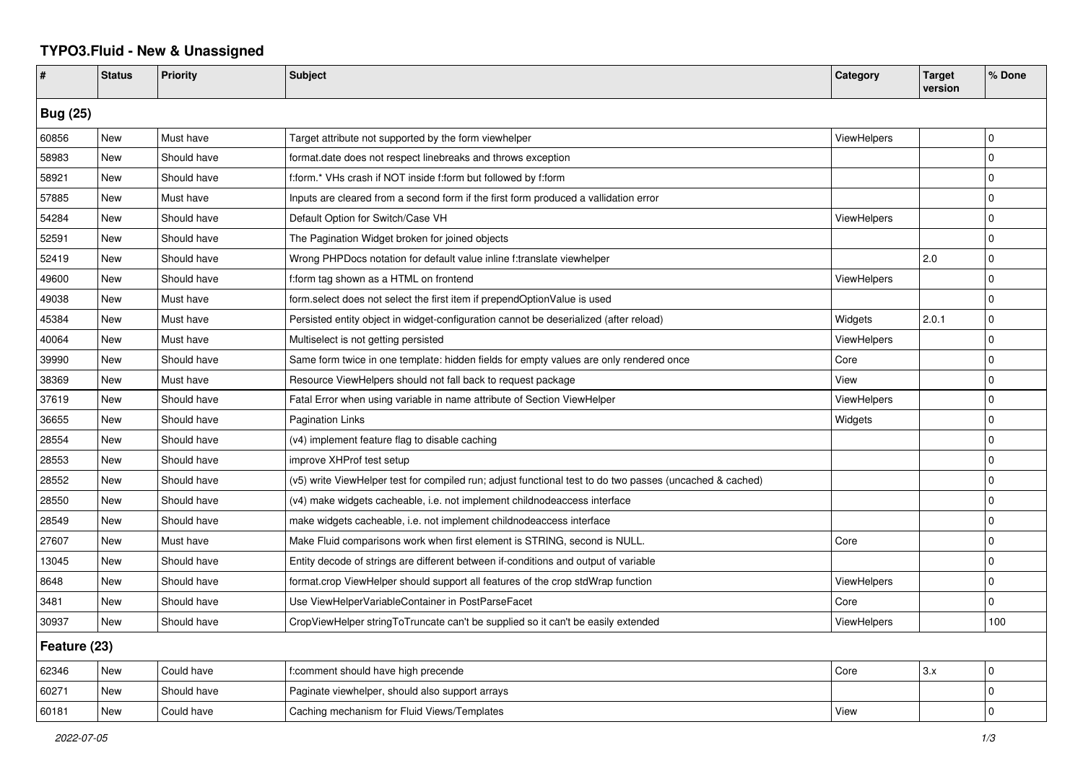## **TYPO3.Fluid - New & Unassigned**

| #               | <b>Status</b> | <b>Priority</b> | <b>Subject</b>                                                                                           | Category           | <b>Target</b><br>version | % Done         |  |  |
|-----------------|---------------|-----------------|----------------------------------------------------------------------------------------------------------|--------------------|--------------------------|----------------|--|--|
| <b>Bug (25)</b> |               |                 |                                                                                                          |                    |                          |                |  |  |
| 60856           | <b>New</b>    | Must have       | Target attribute not supported by the form viewhelper                                                    | ViewHelpers        |                          | 0              |  |  |
| 58983           | New           | Should have     | format.date does not respect linebreaks and throws exception                                             |                    |                          | $\Omega$       |  |  |
| 58921           | New           | Should have     | f:form.* VHs crash if NOT inside f:form but followed by f:form                                           |                    |                          | 0              |  |  |
| 57885           | New           | Must have       | Inputs are cleared from a second form if the first form produced a vallidation error                     |                    |                          | 0              |  |  |
| 54284           | New           | Should have     | Default Option for Switch/Case VH                                                                        | <b>ViewHelpers</b> |                          | $\mathbf 0$    |  |  |
| 52591           | New           | Should have     | The Pagination Widget broken for joined objects                                                          |                    |                          | $\mathbf 0$    |  |  |
| 52419           | New           | Should have     | Wrong PHPDocs notation for default value inline f:translate viewhelper                                   |                    | 2.0                      | 0              |  |  |
| 49600           | New           | Should have     | f:form tag shown as a HTML on frontend                                                                   | ViewHelpers        |                          | $\Omega$       |  |  |
| 49038           | New           | Must have       | form select does not select the first item if prependOptionValue is used                                 |                    |                          | $\Omega$       |  |  |
| 45384           | New           | Must have       | Persisted entity object in widget-configuration cannot be deserialized (after reload)                    | Widgets            | 2.0.1                    | 0              |  |  |
| 40064           | New           | Must have       | Multiselect is not getting persisted                                                                     | ViewHelpers        |                          | $\Omega$       |  |  |
| 39990           | New           | Should have     | Same form twice in one template: hidden fields for empty values are only rendered once                   | Core               |                          | 0              |  |  |
| 38369           | <b>New</b>    | Must have       | Resource ViewHelpers should not fall back to request package                                             | View               |                          | 0              |  |  |
| 37619           | New           | Should have     | Fatal Error when using variable in name attribute of Section ViewHelper                                  | <b>ViewHelpers</b> |                          | $\Omega$       |  |  |
| 36655           | New           | Should have     | <b>Pagination Links</b>                                                                                  | Widgets            |                          | 0              |  |  |
| 28554           | New           | Should have     | (v4) implement feature flag to disable caching                                                           |                    |                          | $\Omega$       |  |  |
| 28553           | New           | Should have     | improve XHProf test setup                                                                                |                    |                          | 0              |  |  |
| 28552           | New           | Should have     | (v5) write ViewHelper test for compiled run; adjust functional test to do two passes (uncached & cached) |                    |                          | 0              |  |  |
| 28550           | New           | Should have     | (v4) make widgets cacheable, i.e. not implement childnodeaccess interface                                |                    |                          | 0              |  |  |
| 28549           | New           | Should have     | make widgets cacheable, i.e. not implement childnodeaccess interface                                     |                    |                          | $\Omega$       |  |  |
| 27607           | New           | Must have       | Make Fluid comparisons work when first element is STRING, second is NULL.                                | Core               |                          | 0              |  |  |
| 13045           | New           | Should have     | Entity decode of strings are different between if-conditions and output of variable                      |                    |                          | $\overline{0}$ |  |  |
| 8648            | <b>New</b>    | Should have     | format.crop ViewHelper should support all features of the crop stdWrap function                          | <b>ViewHelpers</b> |                          | 0              |  |  |
| 3481            | New           | Should have     | Use ViewHelperVariableContainer in PostParseFacet                                                        | Core               |                          | 0              |  |  |
| 30937           | New           | Should have     | CropViewHelper stringToTruncate can't be supplied so it can't be easily extended                         | ViewHelpers        |                          | 100            |  |  |
| Feature (23)    |               |                 |                                                                                                          |                    |                          |                |  |  |
| 62346           | New           | Could have      | f:comment should have high precende                                                                      | Core               | 3.x                      | 0              |  |  |
| 60271           | New           | Should have     | Paginate viewhelper, should also support arrays                                                          |                    |                          | 0              |  |  |
| 60181           | New           | Could have      | Caching mechanism for Fluid Views/Templates                                                              | View               |                          | 0              |  |  |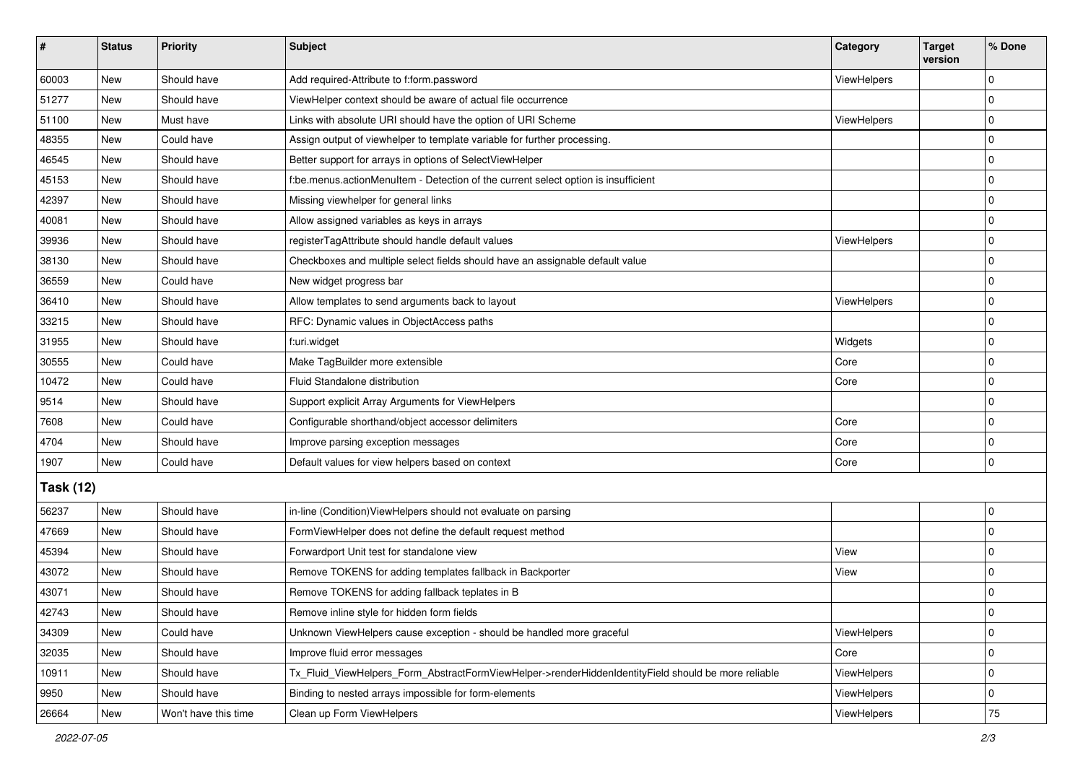| #                | <b>Status</b> | <b>Priority</b>      | <b>Subject</b>                                                                                      | Category           | <b>Target</b><br>version | % Done      |  |  |
|------------------|---------------|----------------------|-----------------------------------------------------------------------------------------------------|--------------------|--------------------------|-------------|--|--|
| 60003            | New           | Should have          | Add required-Attribute to f:form.password                                                           | ViewHelpers        |                          | $\Omega$    |  |  |
| 51277            | <b>New</b>    | Should have          | ViewHelper context should be aware of actual file occurrence                                        |                    |                          | $\mathbf 0$ |  |  |
| 51100            | New           | Must have            | Links with absolute URI should have the option of URI Scheme                                        | ViewHelpers        |                          | $\mathbf 0$ |  |  |
| 48355            | <b>New</b>    | Could have           | Assign output of viewhelper to template variable for further processing.                            |                    |                          | $\mathbf 0$ |  |  |
| 46545            | New           | Should have          | Better support for arrays in options of SelectViewHelper                                            |                    |                          | $\mathbf 0$ |  |  |
| 45153            | New           | Should have          | f:be.menus.actionMenuItem - Detection of the current select option is insufficient                  |                    |                          | $\mathbf 0$ |  |  |
| 42397            | New           | Should have          | Missing viewhelper for general links                                                                |                    |                          | $\mathbf 0$ |  |  |
| 40081            | New           | Should have          | Allow assigned variables as keys in arrays                                                          |                    |                          | $\pmb{0}$   |  |  |
| 39936            | New           | Should have          | registerTagAttribute should handle default values                                                   | ViewHelpers        |                          | $\mathbf 0$ |  |  |
| 38130            | New           | Should have          | Checkboxes and multiple select fields should have an assignable default value                       |                    |                          | 0           |  |  |
| 36559            | New           | Could have           | New widget progress bar                                                                             |                    |                          | $\mathbf 0$ |  |  |
| 36410            | New           | Should have          | Allow templates to send arguments back to layout                                                    | ViewHelpers        |                          | 0           |  |  |
| 33215            | New           | Should have          | RFC: Dynamic values in ObjectAccess paths                                                           |                    |                          | $\mathbf 0$ |  |  |
| 31955            | New           | Should have          | f:uri.widget                                                                                        | Widgets            |                          | $\mathbf 0$ |  |  |
| 30555            | New           | Could have           | Make TagBuilder more extensible                                                                     | Core               |                          | $\mathbf 0$ |  |  |
| 10472            | New           | Could have           | Fluid Standalone distribution                                                                       | Core               |                          | $\mathbf 0$ |  |  |
| 9514             | New           | Should have          | Support explicit Array Arguments for ViewHelpers                                                    |                    |                          | $\mathbf 0$ |  |  |
| 7608             | New           | Could have           | Configurable shorthand/object accessor delimiters                                                   | Core               |                          | $\mathbf 0$ |  |  |
| 4704             | New           | Should have          | Improve parsing exception messages                                                                  | Core               |                          | $\mathbf 0$ |  |  |
| 1907             | <b>New</b>    | Could have           | Default values for view helpers based on context                                                    | Core               |                          | $\mathbf 0$ |  |  |
| <b>Task (12)</b> |               |                      |                                                                                                     |                    |                          |             |  |  |
| 56237            | New           | Should have          | in-line (Condition) View Helpers should not evaluate on parsing                                     |                    |                          | 0           |  |  |
| 47669            | <b>New</b>    | Should have          | FormViewHelper does not define the default request method                                           |                    |                          | $\mathbf 0$ |  |  |
| 45394            | New           | Should have          | Forwardport Unit test for standalone view                                                           | View               |                          | $\mathbf 0$ |  |  |
| 43072            | <b>New</b>    | Should have          | Remove TOKENS for adding templates fallback in Backporter                                           | View               |                          | $\mathbf 0$ |  |  |
| 43071            | New           | Should have          | Remove TOKENS for adding fallback teplates in B                                                     |                    |                          | 0           |  |  |
| 42743            | New           | Should have          | Remove inline style for hidden form fields                                                          |                    |                          | 0           |  |  |
| 34309            | New           | Could have           | Unknown ViewHelpers cause exception - should be handled more graceful                               | ViewHelpers        |                          | $\mathbf 0$ |  |  |
| 32035            | New           | Should have          | Improve fluid error messages                                                                        | Core               |                          | $\pmb{0}$   |  |  |
| 10911            | New           | Should have          | Tx_Fluid_ViewHelpers_Form_AbstractFormViewHelper->renderHiddenIdentityField should be more reliable | ViewHelpers        |                          | $\mathbf 0$ |  |  |
| 9950             | New           | Should have          | Binding to nested arrays impossible for form-elements                                               | <b>ViewHelpers</b> |                          | 0           |  |  |
| 26664            | New           | Won't have this time | Clean up Form ViewHelpers                                                                           | ViewHelpers        |                          | $75\,$      |  |  |